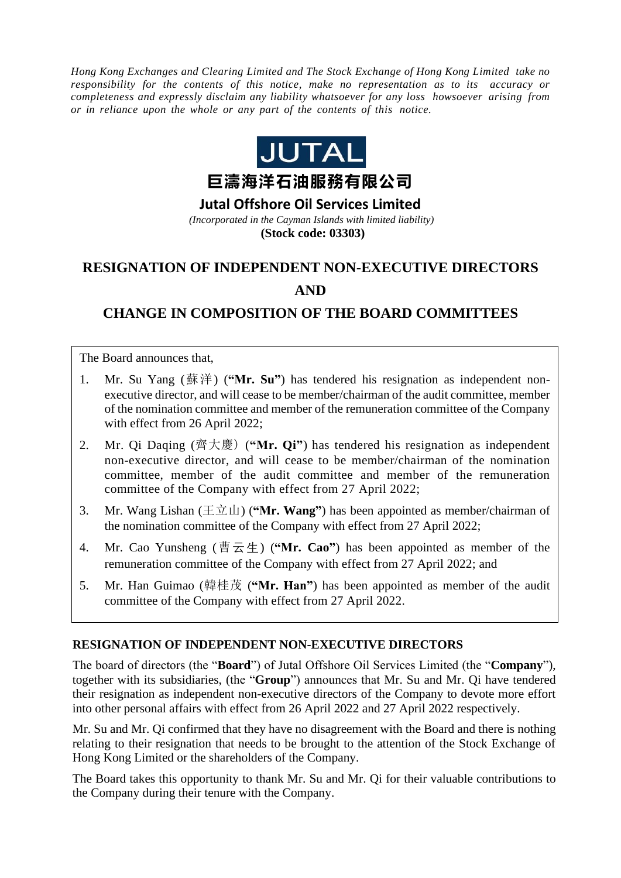*Hong Kong Exchanges and Clearing Limited and The Stock Exchange of Hong Kong Limited take no responsibility for the contents of this notice, make no representation as to its accuracy or completeness and expressly disclaim any liability whatsoever for any loss howsoever arising from or in reliance upon the whole or any part of the contents of this notice.*



**Jutal Offshore Oil Services Limited**

*(Incorporated in the Cayman Islands with limited liability)* **(Stock code: 03303)**

# **RESIGNATION OF INDEPENDENT NON-EXECUTIVE DIRECTORS**

### **AND**

## **CHANGE IN COMPOSITION OF THE BOARD COMMITTEES**

The Board announces that,

- 1. Mr. Su Yang (蘇洋) (**"Mr. Su"**) has tendered his resignation as independent nonexecutive director, and will cease to be member/chairman of the audit committee, member of the nomination committee and member of the remuneration committee of the Company with effect from 26 April 2022;
- 2. Mr. Qi Daqing (齊大慶) (**"Mr. Qi"**) has tendered his resignation as independent non-executive director, and will cease to be member/chairman of the nomination committee, member of the audit committee and member of the remuneration committee of the Company with effect from 27 April 2022;
- 3. Mr. Wang Lishan  $(\pm \overrightarrow{\mathfrak{u}})$  ("Mr. Wang") has been appointed as member/chairman of the nomination committee of the Company with effect from 27 April 2022;
- 4. Mr. Cao Yunsheng (曹云生) (**"Mr. Cao"**) has been appointed as member of the remuneration committee of the Company with effect from 27 April 2022; and
- 5. Mr. Han Guimao (韓桂茂 (**"Mr. Han"**) has been appointed as member of the audit committee of the Company with effect from 27 April 2022.

#### **RESIGNATION OF INDEPENDENT NON-EXECUTIVE DIRECTORS**

The board of directors (the "**Board**") of Jutal Offshore Oil Services Limited (the "**Company**"), together with its subsidiaries, (the "**Group**") announces that Mr. Su and Mr. Qi have tendered their resignation as independent non-executive directors of the Company to devote more effort into other personal affairs with effect from 26 April 2022 and 27 April 2022 respectively.

Mr. Su and Mr. Qi confirmed that they have no disagreement with the Board and there is nothing relating to their resignation that needs to be brought to the attention of the Stock Exchange of Hong Kong Limited or the shareholders of the Company.

The Board takes this opportunity to thank Mr. Su and Mr. Qi for their valuable contributions to the Company during their tenure with the Company.